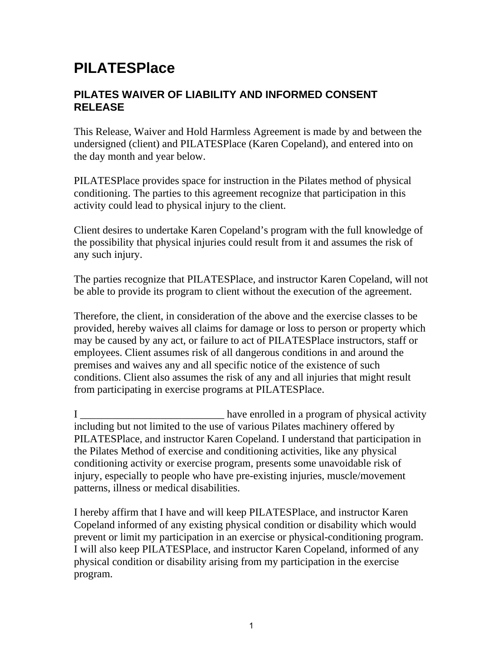## **PILATESPlace**

## **PILATES WAIVER OF LIABILITY AND INFORMED CONSENT RELEASE**

This Release, Waiver and Hold Harmless Agreement is made by and between the undersigned (client) and PILATESPlace (Karen Copeland), and entered into on the day month and year below.

PILATESPlace provides space for instruction in the Pilates method of physical conditioning. The parties to this agreement recognize that participation in this activity could lead to physical injury to the client.

Client desires to undertake Karen Copeland's program with the full knowledge of the possibility that physical injuries could result from it and assumes the risk of any such injury.

The parties recognize that PILATESPlace, and instructor Karen Copeland, will not be able to provide its program to client without the execution of the agreement.

Therefore, the client, in consideration of the above and the exercise classes to be provided, hereby waives all claims for damage or loss to person or property which may be caused by any act, or failure to act of PILATESPlace instructors, staff or employees. Client assumes risk of all dangerous conditions in and around the premises and waives any and all specific notice of the existence of such conditions. Client also assumes the risk of any and all injuries that might result from participating in exercise programs at PILATESPlace.

I \_\_\_\_\_\_\_\_\_\_\_\_\_\_\_\_\_\_\_\_\_\_\_\_\_\_\_ have enrolled in a program of physical activity including but not limited to the use of various Pilates machinery offered by PILATESPlace, and instructor Karen Copeland. I understand that participation in the Pilates Method of exercise and conditioning activities, like any physical conditioning activity or exercise program, presents some unavoidable risk of injury, especially to people who have pre-existing injuries, muscle/movement patterns, illness or medical disabilities.

I hereby affirm that I have and will keep PILATESPlace, and instructor Karen Copeland informed of any existing physical condition or disability which would prevent or limit my participation in an exercise or physical-conditioning program. I will also keep PILATESPlace, and instructor Karen Copeland, informed of any physical condition or disability arising from my participation in the exercise program.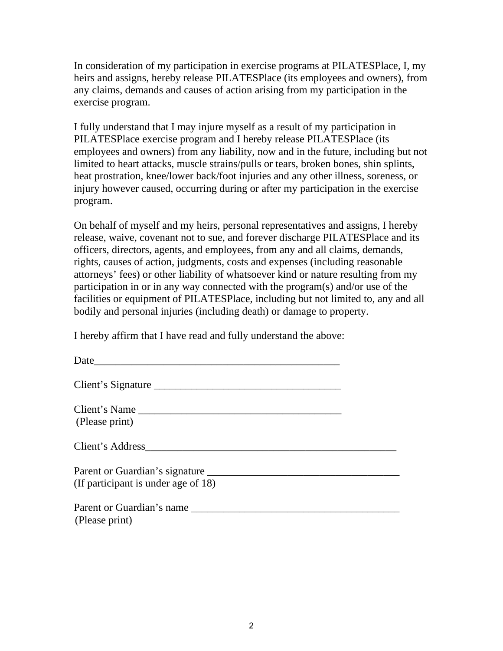In consideration of my participation in exercise programs at PILATESPlace, I, my heirs and assigns, hereby release PILATESPlace (its employees and owners), from any claims, demands and causes of action arising from my participation in the exercise program.

I fully understand that I may injure myself as a result of my participation in PILATESPlace exercise program and I hereby release PILATESPlace (its employees and owners) from any liability, now and in the future, including but not limited to heart attacks, muscle strains/pulls or tears, broken bones, shin splints, heat prostration, knee/lower back/foot injuries and any other illness, soreness, or injury however caused, occurring during or after my participation in the exercise program.

On behalf of myself and my heirs, personal representatives and assigns, I hereby release, waive, covenant not to sue, and forever discharge PILATESPlace and its officers, directors, agents, and employees, from any and all claims, demands, rights, causes of action, judgments, costs and expenses (including reasonable attorneys' fees) or other liability of whatsoever kind or nature resulting from my participation in or in any way connected with the program(s) and/or use of the facilities or equipment of PILATESPlace, including but not limited to, any and all bodily and personal injuries (including death) or damage to property.

I hereby affirm that I have read and fully understand the above:

| Client's Name<br>(Please print)     |  |
|-------------------------------------|--|
|                                     |  |
| (If participant is under age of 18) |  |
| (Please print)                      |  |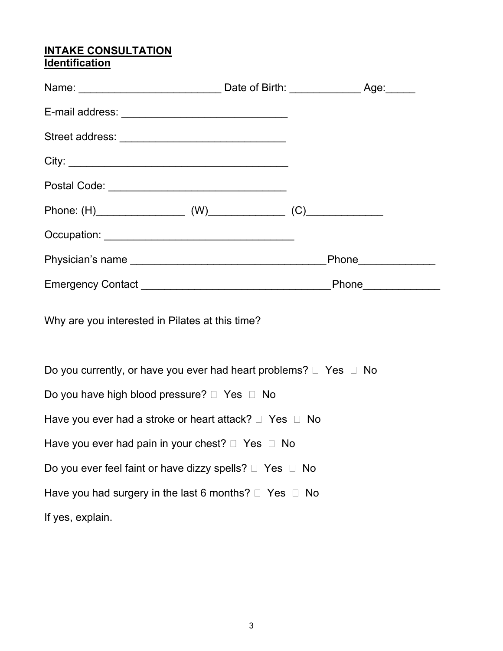## **INTAKE CONSULTATION Identification**

| Postal Code: ___________________________________                            |  |
|-----------------------------------------------------------------------------|--|
|                                                                             |  |
|                                                                             |  |
|                                                                             |  |
|                                                                             |  |
| Why are you interested in Pilates at this time?                             |  |
| Do you currently, or have you ever had heart problems? $\Box$ Yes $\Box$ No |  |
| Do you have high blood pressure? $\Box$ Yes $\Box$ No                       |  |
| Have you ever had a stroke or heart attack? □ Yes □ No                      |  |
| Have you ever had pain in your chest? $\Box$ Yes $\Box$ No                  |  |
| Do you ever feel faint or have dizzy spells? $\Box$ Yes $\Box$ No           |  |
| Have you had surgery in the last 6 months? $\Box$ Yes $\Box$ No             |  |
| If yes, explain.                                                            |  |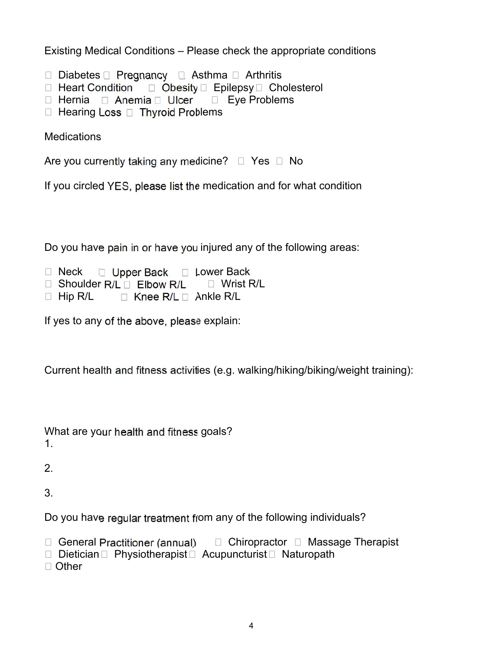Existing Medical Conditions – Please check the appropriate conditions

- $\Box$  Diabetes  $\Box$  Pregnancy  $\Box$  Asthma  $\Box$  Arthritis
- $\Box$  Heart Condition  $\Box$  Obesity  $\Box$  Epilepsy  $\Box$  Cholesterol
- $\Box$  Hernia  $\Box$  Anemia  $\Box$  Ulcer  $\Box$  Eye Problems
- $\Box$  Hearing Loss  $\Box$  Thyroid Problems

**Medications** 

Are you currently taking any medicine?  $\Box$  Yes  $\Box$  No

If you circled YES, please list the medication and for what condition

Do you have pain in or have you injured any of the following areas:

- $\Box$  Neck  $\Box$  Upper Back  $\Box$  Lower Back
- $\Box$  Shoulder R/L  $\Box$  Elbow R/L  $\Box$  Wrist R/L
- $\Box$  Hip R/L  $\Box$  Knee R/L  $\Box$  Ankle R/L

If yes to any of the above, please explain:

Current health and fitness activities (e.g. walking/hiking/biking/weight training):

What are your health and fitness goals? 1.

2.

3.

Do you have regular treatment from any of the following individuals?

 $\Box$  General Practitioner (annual)  $\Box$  Chiropractor  $\Box$  Massage Therapist

 $\Box$  Dietician  $\Box$  Physiotherapist  $\Box$  Acupuncturist  $\Box$  Naturopath

□ Other